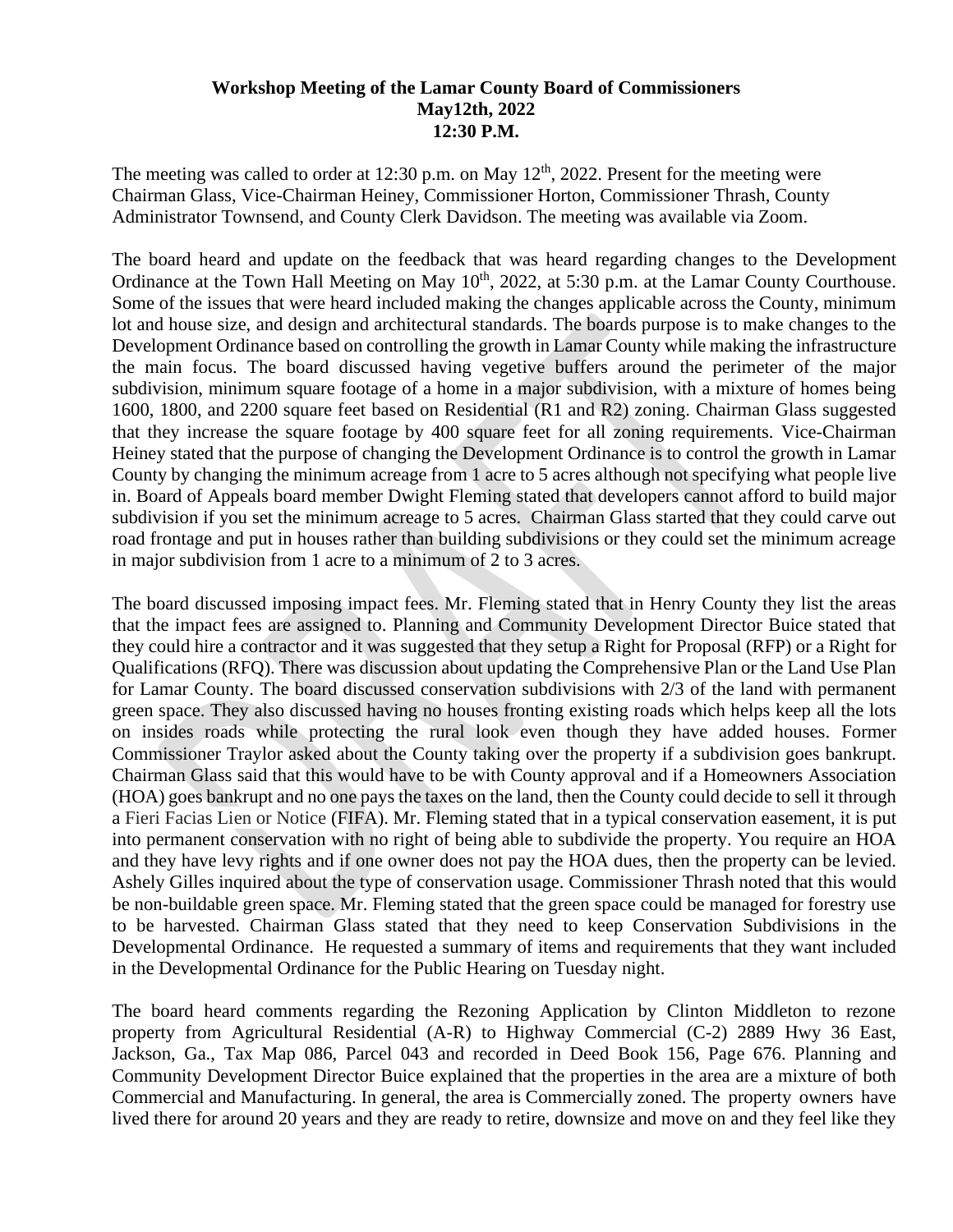## **Workshop Meeting of the Lamar County Board of Commissioners May12th, 2022 12:30 P.M.**

The meeting was called to order at 12:30 p.m. on May  $12<sup>th</sup>$ , 2022. Present for the meeting were Chairman Glass, Vice-Chairman Heiney, Commissioner Horton, Commissioner Thrash, County Administrator Townsend, and County Clerk Davidson. The meeting was available via Zoom.

The board heard and update on the feedback that was heard regarding changes to the Development Ordinance at the Town Hall Meeting on May 10<sup>th</sup>, 2022, at 5:30 p.m. at the Lamar County Courthouse. Some of the issues that were heard included making the changes applicable across the County, minimum lot and house size, and design and architectural standards. The boards purpose is to make changes to the Development Ordinance based on controlling the growth in Lamar County while making the infrastructure the main focus. The board discussed having vegetive buffers around the perimeter of the major subdivision, minimum square footage of a home in a major subdivision, with a mixture of homes being 1600, 1800, and 2200 square feet based on Residential (R1 and R2) zoning. Chairman Glass suggested that they increase the square footage by 400 square feet for all zoning requirements. Vice-Chairman Heiney stated that the purpose of changing the Development Ordinance is to control the growth in Lamar County by changing the minimum acreage from 1 acre to 5 acres although not specifying what people live in. Board of Appeals board member Dwight Fleming stated that developers cannot afford to build major subdivision if you set the minimum acreage to 5 acres. Chairman Glass started that they could carve out road frontage and put in houses rather than building subdivisions or they could set the minimum acreage in major subdivision from 1 acre to a minimum of 2 to 3 acres.

The board discussed imposing impact fees. Mr. Fleming stated that in Henry County they list the areas that the impact fees are assigned to. Planning and Community Development Director Buice stated that they could hire a contractor and it was suggested that they setup a Right for Proposal (RFP) or a Right for Qualifications (RFQ). There was discussion about updating the Comprehensive Plan or the Land Use Plan for Lamar County. The board discussed conservation subdivisions with 2/3 of the land with permanent green space. They also discussed having no houses fronting existing roads which helps keep all the lots on insides roads while protecting the rural look even though they have added houses. Former Commissioner Traylor asked about the County taking over the property if a subdivision goes bankrupt. Chairman Glass said that this would have to be with County approval and if a Homeowners Association (HOA) goes bankrupt and no one pays the taxes on the land, then the County could decide to sell it through a Fieri Facias Lien or Notice (FIFA). Mr. Fleming stated that in a typical conservation easement, it is put into permanent conservation with no right of being able to subdivide the property. You require an HOA and they have levy rights and if one owner does not pay the HOA dues, then the property can be levied. Ashely Gilles inquired about the type of conservation usage. Commissioner Thrash noted that this would be non-buildable green space. Mr. Fleming stated that the green space could be managed for forestry use to be harvested. Chairman Glass stated that they need to keep Conservation Subdivisions in the Developmental Ordinance. He requested a summary of items and requirements that they want included in the Developmental Ordinance for the Public Hearing on Tuesday night.

The board heard comments regarding the Rezoning Application by Clinton Middleton to rezone property from Agricultural Residential (A-R) to Highway Commercial (C-2) 2889 Hwy 36 East, Jackson, Ga., Tax Map 086, Parcel 043 and recorded in Deed Book 156, Page 676. Planning and Community Development Director Buice explained that the properties in the area are a mixture of both Commercial and Manufacturing. In general, the area is Commercially zoned. The property owners have lived there for around 20 years and they are ready to retire, downsize and move on and they feel like they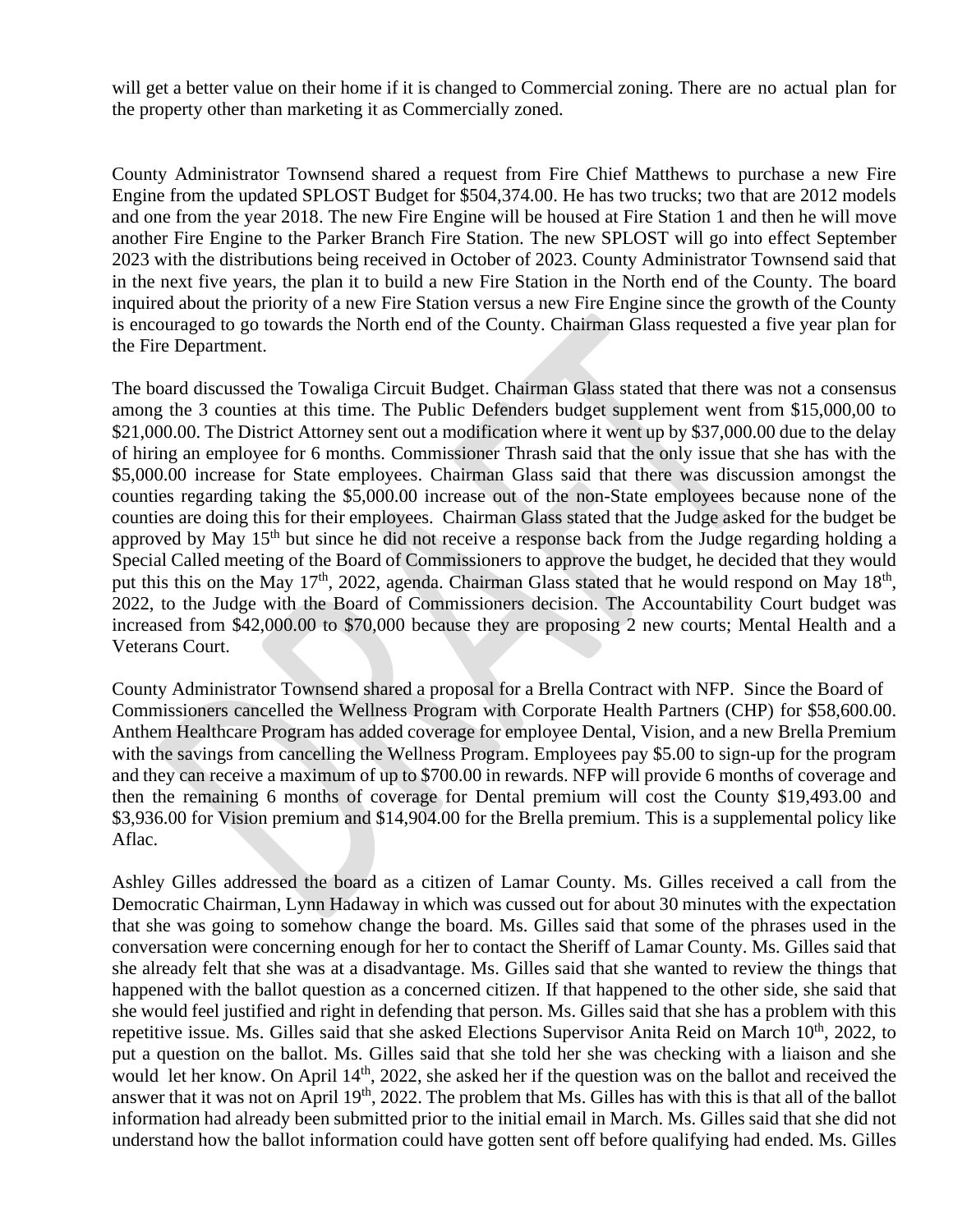will get a better value on their home if it is changed to Commercial zoning. There are no actual plan for the property other than marketing it as Commercially zoned.

County Administrator Townsend shared a request from Fire Chief Matthews to purchase a new Fire Engine from the updated SPLOST Budget for \$504,374.00. He has two trucks; two that are 2012 models and one from the year 2018. The new Fire Engine will be housed at Fire Station 1 and then he will move another Fire Engine to the Parker Branch Fire Station. The new SPLOST will go into effect September 2023 with the distributions being received in October of 2023. County Administrator Townsend said that in the next five years, the plan it to build a new Fire Station in the North end of the County. The board inquired about the priority of a new Fire Station versus a new Fire Engine since the growth of the County is encouraged to go towards the North end of the County. Chairman Glass requested a five year plan for the Fire Department.

The board discussed the Towaliga Circuit Budget. Chairman Glass stated that there was not a consensus among the 3 counties at this time. The Public Defenders budget supplement went from \$15,000,00 to \$21,000.00. The District Attorney sent out a modification where it went up by \$37,000.00 due to the delay of hiring an employee for 6 months. Commissioner Thrash said that the only issue that she has with the \$5,000.00 increase for State employees. Chairman Glass said that there was discussion amongst the counties regarding taking the \$5,000.00 increase out of the non-State employees because none of the counties are doing this for their employees. Chairman Glass stated that the Judge asked for the budget be approved by May 15<sup>th</sup> but since he did not receive a response back from the Judge regarding holding a Special Called meeting of the Board of Commissioners to approve the budget, he decided that they would put this this on the May  $17<sup>th</sup>$ , 2022, agenda. Chairman Glass stated that he would respond on May  $18<sup>th</sup>$ , 2022, to the Judge with the Board of Commissioners decision. The Accountability Court budget was increased from \$42,000.00 to \$70,000 because they are proposing 2 new courts; Mental Health and a Veterans Court.

 County Administrator Townsend shared a proposal for a Brella Contract with NFP. Since the Board of Commissioners cancelled the Wellness Program with Corporate Health Partners (CHP) for \$58,600.00. Anthem Healthcare Program has added coverage for employee Dental, Vision, and a new Brella Premium with the savings from cancelling the Wellness Program. Employees pay \$5.00 to sign-up for the program and they can receive a maximum of up to \$700.00 in rewards. NFP will provide 6 months of coverage and then the remaining 6 months of coverage for Dental premium will cost the County \$19,493.00 and \$3,936.00 for Vision premium and \$14,904.00 for the Brella premium. This is a supplemental policy like Aflac.

Ashley Gilles addressed the board as a citizen of Lamar County. Ms. Gilles received a call from the Democratic Chairman, Lynn Hadaway in which was cussed out for about 30 minutes with the expectation that she was going to somehow change the board. Ms. Gilles said that some of the phrases used in the conversation were concerning enough for her to contact the Sheriff of Lamar County. Ms. Gilles said that she already felt that she was at a disadvantage. Ms. Gilles said that she wanted to review the things that happened with the ballot question as a concerned citizen. If that happened to the other side, she said that she would feel justified and right in defending that person. Ms. Gilles said that she has a problem with this repetitive issue. Ms. Gilles said that she asked Elections Supervisor Anita Reid on March 10<sup>th</sup>, 2022, to put a question on the ballot. Ms. Gilles said that she told her she was checking with a liaison and she would let her know. On April 14<sup>th</sup>, 2022, she asked her if the question was on the ballot and received the answer that it was not on April 19th, 2022. The problem that Ms. Gilles has with this is that all of the ballot information had already been submitted prior to the initial email in March. Ms. Gilles said that she did not understand how the ballot information could have gotten sent off before qualifying had ended. Ms. Gilles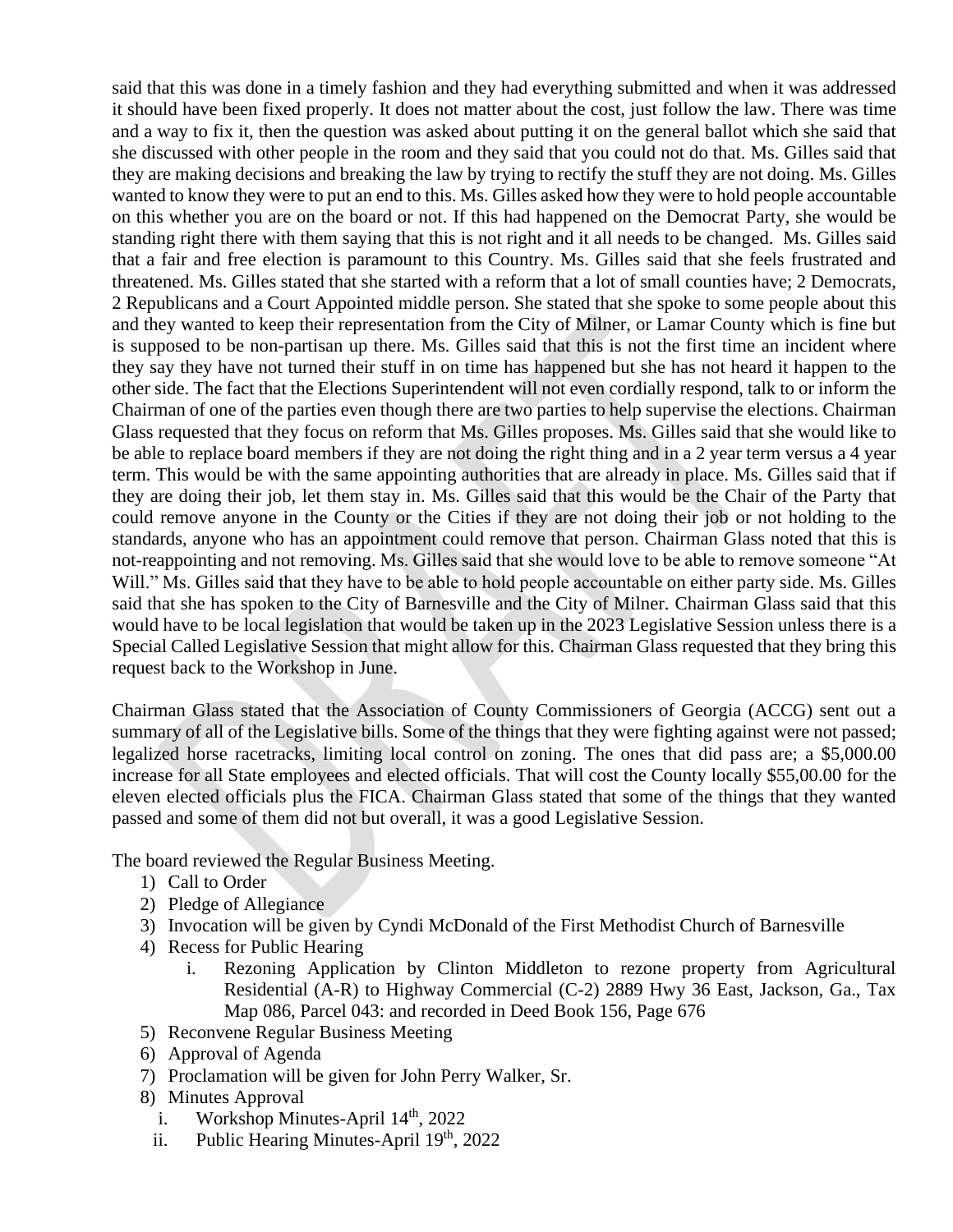said that this was done in a timely fashion and they had everything submitted and when it was addressed it should have been fixed properly. It does not matter about the cost, just follow the law. There was time and a way to fix it, then the question was asked about putting it on the general ballot which she said that she discussed with other people in the room and they said that you could not do that. Ms. Gilles said that they are making decisions and breaking the law by trying to rectify the stuff they are not doing. Ms. Gilles wanted to know they were to put an end to this. Ms. Gilles asked how they were to hold people accountable on this whether you are on the board or not. If this had happened on the Democrat Party, she would be standing right there with them saying that this is not right and it all needs to be changed. Ms. Gilles said that a fair and free election is paramount to this Country. Ms. Gilles said that she feels frustrated and threatened. Ms. Gilles stated that she started with a reform that a lot of small counties have; 2 Democrats, 2 Republicans and a Court Appointed middle person. She stated that she spoke to some people about this and they wanted to keep their representation from the City of Milner, or Lamar County which is fine but is supposed to be non-partisan up there. Ms. Gilles said that this is not the first time an incident where they say they have not turned their stuff in on time has happened but she has not heard it happen to the other side. The fact that the Elections Superintendent will not even cordially respond, talk to or inform the Chairman of one of the parties even though there are two parties to help supervise the elections. Chairman Glass requested that they focus on reform that Ms. Gilles proposes. Ms. Gilles said that she would like to be able to replace board members if they are not doing the right thing and in a 2 year term versus a 4 year term. This would be with the same appointing authorities that are already in place. Ms. Gilles said that if they are doing their job, let them stay in. Ms. Gilles said that this would be the Chair of the Party that could remove anyone in the County or the Cities if they are not doing their job or not holding to the standards, anyone who has an appointment could remove that person. Chairman Glass noted that this is not-reappointing and not removing. Ms. Gilles said that she would love to be able to remove someone "At Will." Ms. Gilles said that they have to be able to hold people accountable on either party side. Ms. Gilles said that she has spoken to the City of Barnesville and the City of Milner. Chairman Glass said that this would have to be local legislation that would be taken up in the 2023 Legislative Session unless there is a Special Called Legislative Session that might allow for this. Chairman Glass requested that they bring this request back to the Workshop in June.

Chairman Glass stated that the Association of County Commissioners of Georgia (ACCG) sent out a summary of all of the Legislative bills. Some of the things that they were fighting against were not passed; legalized horse racetracks, limiting local control on zoning. The ones that did pass are; a \$5,000.00 increase for all State employees and elected officials. That will cost the County locally \$55,00.00 for the eleven elected officials plus the FICA. Chairman Glass stated that some of the things that they wanted passed and some of them did not but overall, it was a good Legislative Session.

The board reviewed the Regular Business Meeting.

- 1) Call to Order
- 2) Pledge of Allegiance
- 3) Invocation will be given by Cyndi McDonald of the First Methodist Church of Barnesville
- 4) Recess for Public Hearing
	- i. Rezoning Application by Clinton Middleton to rezone property from Agricultural Residential (A-R) to Highway Commercial (C-2) 2889 Hwy 36 East, Jackson, Ga., Tax Map 086, Parcel 043: and recorded in Deed Book 156, Page 676
- 5) Reconvene Regular Business Meeting
- 6) Approval of Agenda
- 7) Proclamation will be given for John Perry Walker, Sr.
- 8) Minutes Approval
	- i. Workshop Minutes-April  $14<sup>th</sup>$ , 2022
	- ii. Public Hearing Minutes-April 19<sup>th</sup>, 2022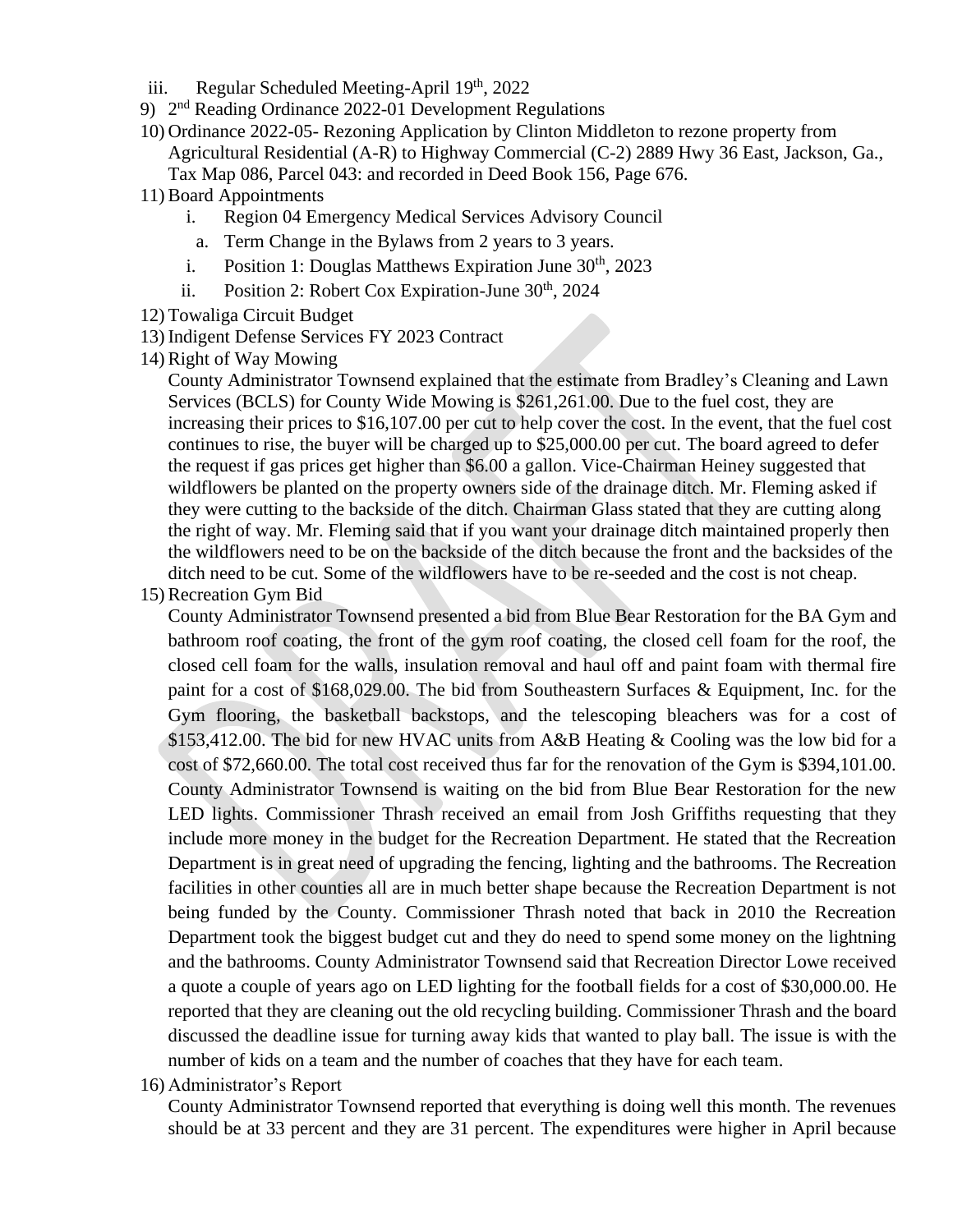- iii. Regular Scheduled Meeting-April  $19<sup>th</sup>$ , 2022
- 9) 2<sup>nd</sup> Reading Ordinance 2022-01 Development Regulations
- 10) Ordinance 2022-05- Rezoning Application by Clinton Middleton to rezone property from Agricultural Residential (A-R) to Highway Commercial (C-2) 2889 Hwy 36 East, Jackson, Ga., Tax Map 086, Parcel 043: and recorded in Deed Book 156, Page 676.
- 11)Board Appointments
	- i. Region 04 Emergency Medical Services Advisory Council
	- a. Term Change in the Bylaws from 2 years to 3 years.
	- i. Position 1: Douglas Matthews Expiration June  $30<sup>th</sup>$ , 2023
	- ii. Position 2: Robert Cox Expiration-June  $30<sup>th</sup>$ , 2024
- 12) Towaliga Circuit Budget
- 13) Indigent Defense Services FY 2023 Contract
- 14) Right of Way Mowing

County Administrator Townsend explained that the estimate from Bradley's Cleaning and Lawn Services (BCLS) for County Wide Mowing is \$261,261.00. Due to the fuel cost, they are increasing their prices to \$16,107.00 per cut to help cover the cost. In the event, that the fuel cost continues to rise, the buyer will be charged up to \$25,000.00 per cut. The board agreed to defer the request if gas prices get higher than \$6.00 a gallon. Vice-Chairman Heiney suggested that wildflowers be planted on the property owners side of the drainage ditch. Mr. Fleming asked if they were cutting to the backside of the ditch. Chairman Glass stated that they are cutting along the right of way. Mr. Fleming said that if you want your drainage ditch maintained properly then the wildflowers need to be on the backside of the ditch because the front and the backsides of the ditch need to be cut. Some of the wildflowers have to be re-seeded and the cost is not cheap.

15)Recreation Gym Bid

County Administrator Townsend presented a bid from Blue Bear Restoration for the BA Gym and bathroom roof coating, the front of the gym roof coating, the closed cell foam for the roof, the closed cell foam for the walls, insulation removal and haul off and paint foam with thermal fire paint for a cost of \$168,029.00. The bid from Southeastern Surfaces & Equipment, Inc. for the Gym flooring, the basketball backstops, and the telescoping bleachers was for a cost of \$153,412.00. The bid for new HVAC units from A&B Heating & Cooling was the low bid for a cost of \$72,660.00. The total cost received thus far for the renovation of the Gym is \$394,101.00. County Administrator Townsend is waiting on the bid from Blue Bear Restoration for the new LED lights. Commissioner Thrash received an email from Josh Griffiths requesting that they include more money in the budget for the Recreation Department. He stated that the Recreation Department is in great need of upgrading the fencing, lighting and the bathrooms. The Recreation facilities in other counties all are in much better shape because the Recreation Department is not being funded by the County. Commissioner Thrash noted that back in 2010 the Recreation Department took the biggest budget cut and they do need to spend some money on the lightning and the bathrooms. County Administrator Townsend said that Recreation Director Lowe received a quote a couple of years ago on LED lighting for the football fields for a cost of \$30,000.00. He reported that they are cleaning out the old recycling building. Commissioner Thrash and the board discussed the deadline issue for turning away kids that wanted to play ball. The issue is with the number of kids on a team and the number of coaches that they have for each team.

16) Administrator's Report

County Administrator Townsend reported that everything is doing well this month. The revenues should be at 33 percent and they are 31 percent. The expenditures were higher in April because